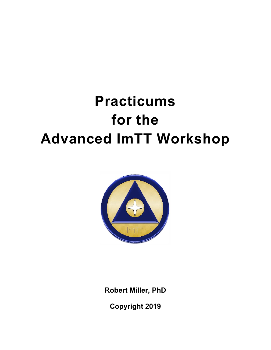# **Practicums for the Advanced ImTT Workshop**



**Robert Miller, PhD**

**Copyright 2019**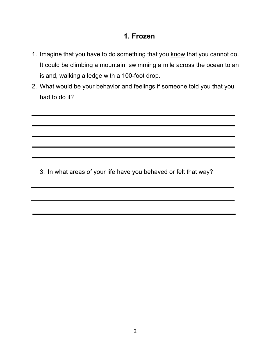#### **1. Frozen**

- 1. Imagine that you have to do something that you know that you cannot do. It could be climbing a mountain, swimming a mile across the ocean to an island, walking a ledge with a 100-foot drop.
- 2. What would be your behavior and feelings if someone told you that you had to do it?

3. In what areas of your life have you behaved or felt that way?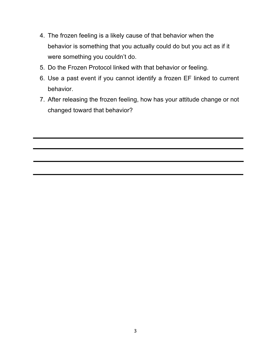- 4. The frozen feeling is a likely cause of that behavior when the behavior is something that you actually could do but you act as if it were something you couldn't do.
- 5. Do the Frozen Protocol linked with that behavior or feeling.
- 6. Use a past event if you cannot identify a frozen EF linked to current behavior.
- 7. After releasing the frozen feeling, how has your attitude change or not changed toward that behavior?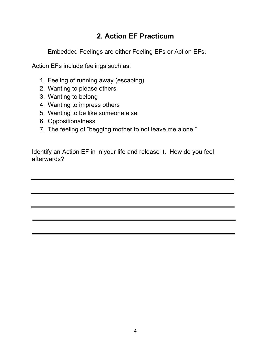## **2. Action EF Practicum**

Embedded Feelings are either Feeling EFs or Action EFs.

Action EFs include feelings such as:

- 1. Feeling of running away (escaping)
- 2. Wanting to please others
- 3. Wanting to belong
- 4. Wanting to impress others
- 5. Wanting to be like someone else
- 6. Oppositionalness
- 7. The feeling of "begging mother to not leave me alone."

Identify an Action EF in in your life and release it. How do you feel afterwards?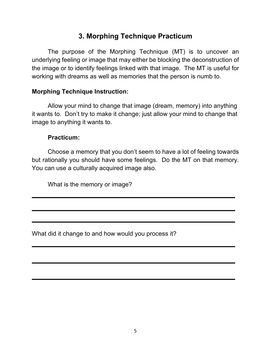## **3. Morphing Technique Practicum**

The purpose of the Morphing Technique (MT) is to uncover an underlying feeling or image that may either be blocking the deconstruction of the image or to identify feelings linked with that image. The MT is useful for working with dreams as well as memories that the person is numb to.

#### **Morphing Technique Instruction:**

Allow your mind to change that image (dream, memory) into anything it wants to. Don't try to make it change; just allow your mind to change that image to anything it wants to.

#### **Practicum:**

Choose a memory that you don't seem to have a lot of feeling towards but rationally you should have some feelings. Do the MT on that memory. You can use a culturally acquired image also.

What is the memory or image?

What did it change to and how would you process it?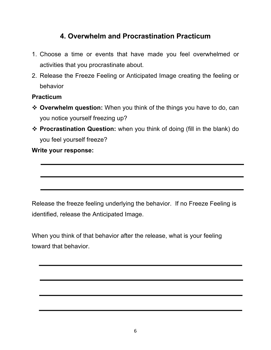## **4. Overwhelm and Procrastination Practicum**

- 1. Choose a time or events that have made you feel overwhelmed or activities that you procrastinate about.
- 2. Release the Freeze Feeling or Anticipated Image creating the feeling or behavior

#### **Practicum**

- **Ex** Overwhelm question: When you think of the things you have to do, can you notice yourself freezing up?
- v **Procrastination Question:** when you think of doing (fill in the blank) do you feel yourself freeze?

**Write your response:**

Release the freeze feeling underlying the behavior. If no Freeze Feeling is identified, release the Anticipated Image.

When you think of that behavior after the release, what is your feeling toward that behavior.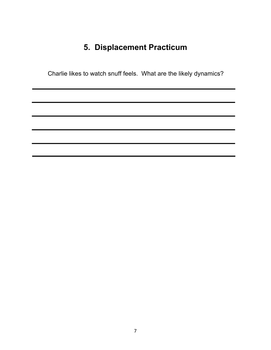## **5. Displacement Practicum**

Charlie likes to watch snuff feels. What are the likely dynamics?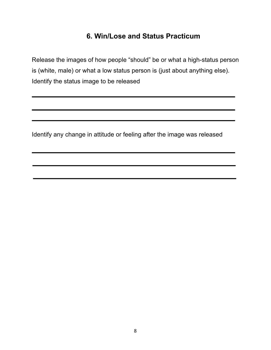### **6. Win/Lose and Status Practicum**

Release the images of how people "should" be or what a high-status person is (white, male) or what a low status person is (just about anything else). Identify the status image to be released

Identify any change in attitude or feeling after the image was released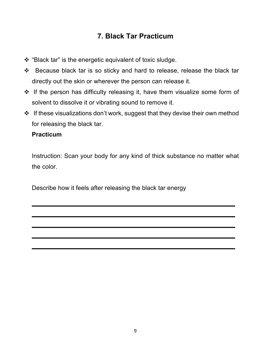## **7. Black Tar Practicum**

- $\cdot$  "Black tar" is the energetic equivalent of toxic sludge.
- v Because black tar is so sticky and hard to release, release the black tar directly out the skin or wherever the person can release it.
- $\cdot \cdot$  If the person has difficulty releasing it, have them visualize some form of solvent to dissolve it or vibrating sound to remove it.
- $\cdot$  If these visualizations don't work, suggest that they devise their own method for releasing the black tar.

#### **Practicum**

Instruction: Scan your body for any kind of thick substance no matter what the color.

Describe how it feels after releasing the black tar energy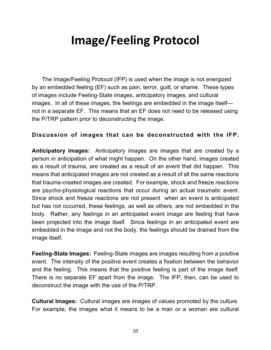## **Image/Feeling Protocol**

The Image/Feeling Protocol (IFP) is used when the image is not energized by an embedded feeling (EF) such as pain, terror, guilt, or shame. These types of images include Feeling-State images, anticipatory images, and cultural images. In all of these images, the feelings are embedded in the image itself not in a separate EF. This means that an EF does not need to be released using the P/TRP pattern prior to deconstructing the image.

#### **Discussion of images that can be deconstructed with the IFP.**

**Anticipatory images:** Anticipatory images are images that are created by a person in anticipation of what might happen. On the other hand, images created as a result of trauma, are created as a result of an event that did happen. This means that anticipated images are not created as a result of all the same reactions that trauma-created images are created. For example, shock and freeze reactions are psycho-physiological reactions that occur during an actual traumatic event. Since shock and freeze reactions are not present when an event is anticipated but has not occurred, these feelings, as well as others, are not embedded in the body. Rather, any feelings in an anticipated event image are feeling that have been projected into the image itself. Since feelings in an anticipated event are embedded in the image and not the body, the feelings should be drained from the image itself.

**Feeling-State Images:** Feeling-State images are images resulting from a positive event. The intensity of the positive event creates a fixation between the behavior and the feeling. This means that the positive feeling is part of the image itself. There is no separate EF apart from the image. The IFP, then, can be used to deconstruct the image with the use of the P/TRP.

**Cultural Images:** Cultural images are images of values promoted by the culture. For example, the images what it means to be a man or a woman are cultural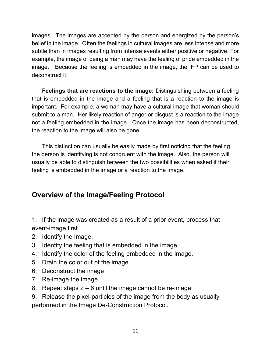images. The images are accepted by the person and energized by the person's belief in the image. Often the feelings in cultural images are less intense and more subtle than in images resulting from intense events either positive or negative. For example, the image of being a man may have the feeling of pride embedded in the image. Because the feeling is embedded in the image, the IFP can be used to deconstruct it.

**Feelings that are reactions to the image:** Distinguishing between a feeling that is embedded in the image and a feeling that is a reaction to the image is important. For example, a woman may have a cultural image that woman should submit to a man. Her likely reaction of anger or disgust is a reaction to the image not a feeling embedded in the image. Once the image has been deconstructed, the reaction to the image will also be gone.

This distinction can usually be easily made by first noticing that the feeling the person is identifying is not congruent with the image. Also, the person will usually be able to distinguish between the two possibilities when asked if their feeling is embedded in the image or a reaction to the image.

## **Overview of the lmage/Feeling Protocol**

1. If the image was created as a result of a prior event, process that event-image first..

- 2. Identify the Image.
- 3. Identify the feeling that is embedded in the image.
- 4. Identify the color of the feeling embedded in the Image.
- 5. Drain the color out of the image.
- 6. Deconstruct the image
- 7. Re-image the image.
- 8. Repeat steps 2 6 until the image cannot be re-image.
- 9. Release the pixel-particles of the image from the body as usually performed in the Image De-Construction Protocol.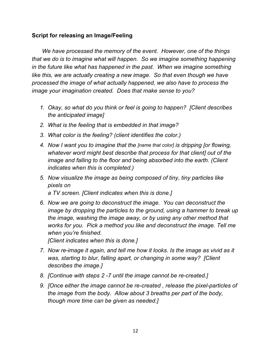#### **Script for releasing an Image/Feeling**

*We have processed the memory of the event. However, one of the things that we do is to imagine what will happen. So we imagine something happening in the future like what has happened in the past. When we imagine something like this, we are actually creating a new image. So that even though we have processed the image of what actually happened, we also have to process the image your imagination created. Does that make sense to you?*

- *1. Okay, so what do you think or feel is going to happen? [Client describes the anticipated image]*
- *2. What is the feeling that is embedded in that image?*
- *3. What color is the feeling? (client identifies the color.)*
- *4. Now I want you to imagine that the [name that color] is dripping [or flowing, whatever word might best describe that process for that client] out of the image and falling to the floor and being absorbed into the earth. (Client indicates when this is completed.)*
- *5. Now visualize the image as being composed of tiny, tiny particles like pixels on a TV screen. [Client indicates when this is done.]*
- *6. Now we are going to deconstruct the image. You can deconstruct the image by dropping the particles to the ground, using a hammer to break up the image, washing the image away, or by using any other method that works for you. Pick a method you like and deconstruct the image. Tell me when you're finished.*

*[Client indicates when this is done.]*

- *7. Now re-image it again, and tell me how it looks. Is the image as vivid as it was, starting to blur, falling apart, or changing in some way? [Client describes the image.]*
- *8. [Continue with steps 2 -7 until the image cannot be re-created.]*
- *9. [Once either the image cannot be re-created , release the pixel-particles of the image from the body. Allow about 3 breaths per part of the body, though more time can be given as needed.]*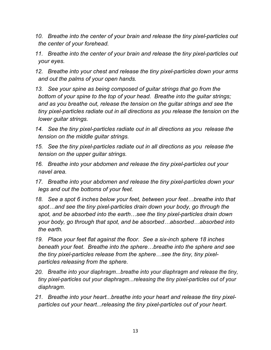- *10. Breathe into the center of your brain and release the tiny pixel-particles out the center of your forehead.*
- *11. Breathe into the center of your brain and release the tiny pixel-particles out your eyes.*
- *12. Breathe into your chest and release the tiny pixel-particles down your arms and out the palms of your open hands.*
- *13. See your spine as being composed of guitar strings that go from the bottom of your spine to the top of your head. Breathe into the guitar strings; and as you breathe out, release the tension on the guitar strings and see the tiny pixel-particles radiate out in all directions as you release the tension on the lower guitar strings.*
- *14. See the tiny pixel-particles radiate out in all directions as you release the tension on the middle guitar strings.*
- *15. See the tiny pixel-particles radiate out in all directions as you release the tension on the upper guitar strings.*
- *16. Breathe into your abdomen and release the tiny pixel-particles out your navel area.*
- *17. Breathe into your abdomen and release the tiny pixel-particles down your legs and out the bottoms of your feet.*
- *18. See a spot 6 inches below your feet, between your feet…breathe into that spot…and see the tiny pixel-particles drain down your body, go through the spot, and be absorbed into the earth…see the tiny pixel-particles drain down your body, go through that spot, and be absorbed…absorbed…absorbed into the earth.*
- *19. Place your feet flat against the floor. See a six-inch sphere 18 inches beneath your feet. Breathe into the sphere…breathe into the sphere and see the tiny pixel-particles release from the sphere…see the tiny, tiny pixelparticles releasing from the sphere.*
- *20. Breathe into your diaphragm...breathe into your diaphragm and release the tiny, tiny pixel-particles out your diaphragm...releasing the tiny pixel-particles out of your diaphragm.*
- *21. Breathe into your heart...breathe into your heart and release the tiny pixelparticles out your heart...releasing the tiny pixel-particles out of your heart.*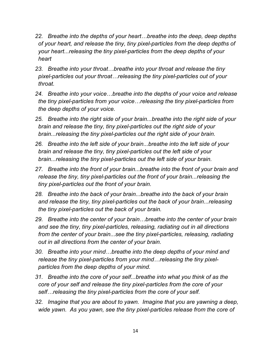- *22. Breathe into the depths of your heart…breathe into the deep, deep depths of your heart, and release the tiny, tiny pixel-particles from the deep depths of your heart...releasing the tiny pixel-particles from the deep depths of your heart*
- *23. Breathe into your throat…breathe into your throat and release the tiny pixel-particles out your throat…releasing the tiny pixel-particles out of your throat.*
- *24. Breathe into your voice…breathe into the depths of your voice and release the tiny pixel-particles from your voice…releasing the tiny pixel-particles from the deep depths of your voice.*
- *25. Breathe into the right side of your brain...breathe into the right side of your brain and release the tiny, tiny pixel-particles out the right side of your brain...releasing the tiny pixel-particles out the right side of your brain.*
- *26. Breathe into the left side of your brain...breathe into the left side of your brain and release the tiny, tiny pixel-particles out the left side of your brain...releasing the tiny pixel-particles out the left side of your brain.*
- *27. Breathe into the front of your brain...breathe into the front of your brain and release the tiny, tiny pixel-particles out the front of your brain...releasing the tiny pixel-particles out the front of your brain.*
- *28. Breathe into the back of your brain...breathe into the back of your brain and release the tiny, tiny pixel-particles out the back of your brain...releasing the tiny pixel-particles out the back of your brain.*
- *29. Breathe into the center of your brain…breathe into the center of your brain and see the tiny, tiny pixel-particles, releasing, radiating out in all directions from the center of your brain...see the tiny pixel-particles, releasing, radiating out in all directions from the center of your brain.*
- *30. Breathe into your mind…breathe into the deep depths of your mind and release the tiny pixel-particles from your mind…releasing the tiny pixelparticles from the deep depths of your mind.*
- *31. Breathe into the core of your self...breathe into what you think of as the core of your self and release the tiny pixel-particles from the core of your self…releasing the tiny pixel-particles from the core of your self.*
- *32. Imagine that you are about to yawn. Imagine that you are yawning a deep, wide yawn. As you yawn, see the tiny pixel-particles release from the core of*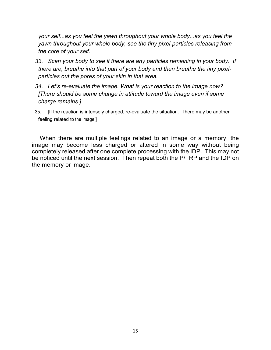*your self...as you feel the yawn throughout your whole body...as you feel the yawn throughout your whole body, see the tiny pixel-particles releasing from the core of your self.*

- *33. Scan your body to see if there are any particles remaining in your body. If there are, breathe into that part of your body and then breathe the tiny pixelparticles out the pores of your skin in that area.*
- *34. Let's re-evaluate the image. What is your reaction to the image now? [There should be some change in attitude toward the image even if some charge remains.]*
- 35. [If the reaction is intensely charged, re-evaluate the situation. There may be another feeling related to the image.]

When there are multiple feelings related to an image or a memory, the image may become less charged or altered in some way without being completely released after one complete processing with the IDP. This may not be noticed until the next session. Then repeat both the P/TRP and the IDP on the memory or image.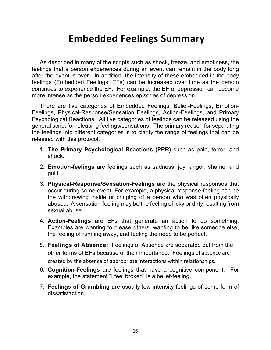## **Embedded Feelings Summary**

As described in many of the scripts such as shock, freeze, and emptiness, the feelings that a person experiences during an event can remain in the body long after the event is over. In addition, the intensity of these embedded-in-the-body feelings (Embedded Feelings, EFs) can be increased over time as the person continues to experience the EF. For example, the EF of depression can become more intense as the person experiences episodes of depression.

There are five categories of Embedded Feelings: Belief-Feelings, Emotion-Feelings, Physical-Response/Sensation Feelings, Action-Feelings, and Primary Psychological Reactions. All five categories of feelings can be released using the general script for releasing feelings/sensations. The primary reason for separating the feelings into different categories is to clarify the range of feelings that can be released with this protocol.

- 1. **The Primary Psychological Reactions (PPR)** such as pain, terror, and shock.
- 2. **Emotion-feelings** are feelings such as sadness, joy, anger, shame, and guilt.
- 3. **Physical-Response/Sensation-Feelings** are the physical responses that occur during some event. For example, a physical response-feeling can be the withdrawing inside or cringing of a person who was often physically abused. A sensation-feeling may be the feeling of icky or dirty resulting from sexual abuse.
- 4. **Action-Feelings** are EFs that generate an action to do something. Examples are wanting to please others, wanting to be like someone else, the feeling of running away, and feeling the need to be perfect.
- 5. **Feelings of Absence:** Feelings of Absence are separated out from the other forms of EFs because of their importance. Feelings of absence are created by the absence of appropriate interactions within relationships.
- 6. **Cognition-Feelings** are feelings that have a cognitive component. For example, the statement "I feel broken" is a belief-feeling.
- 7. **Feelings of Grumbling** are usually low intensity feelings of some form of dissatisfaction.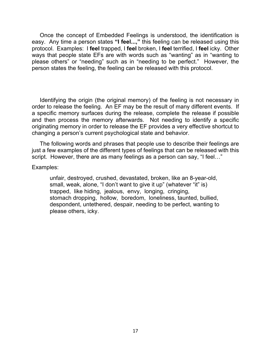Once the concept of Embedded Feelings is understood, the identification is easy. Any time a person states **"I feel...,"** this feeling can be released using this protocol. Examples: I **feel** trapped, I **feel** broken, I **feel** terrified, I **feel** icky. Other ways that people state EFs are with words such as "wanting" as in "wanting to please others" or "needing" such as in "needing to be perfect." However, the person states the feeling, the feeling can be released with this protocol.

Identifying the origin (the original memory) of the feeling is not necessary in order to release the feeling. An EF may be the result of many different events. If a specific memory surfaces during the release, complete the release if possible and then process the memory afterwards. Not needing to identify a specific originating memory in order to release the EF provides a very effective shortcut to changing a person's current psychological state and behavior.

The following words and phrases that people use to describe their feelings are just a few examples of the different types of feelings that can be released with this script. However, there are as many feelings as a person can say, "I feel…"

#### Examples:

unfair, destroyed, crushed, devastated, broken, like an 8-year-old, small, weak, alone, "I don't want to give it up" (whatever "it" is) trapped, like hiding, jealous, envy, longing, cringing, stomach dropping, hollow, boredom, loneliness, taunted, bullied, despondent, untethered, despair, needing to be perfect, wanting to please others, icky.